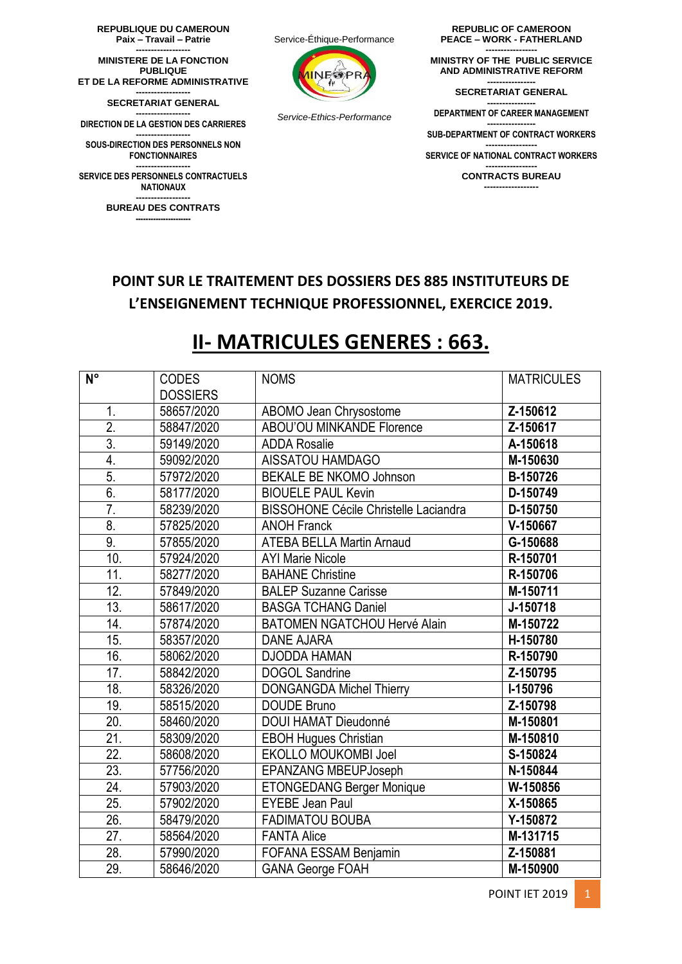**REPUBLIQUE DU CAMEROUN Paix – Travail – Patrie ------------------**

**MINISTERE DE LA FONCTION PUBLIQUE ET DE LA REFORME ADMINISTRATIVE ------------------**

**SECRETARIAT GENERAL ------------------**

**DIRECTION DE LA GESTION DES CARRIERES**

**------------------ SOUS-DIRECTION DES PERSONNELS NON FONCTIONNAIRES**

**------------------ SERVICE DES PERSONNELS CONTRACTUELS NATIONAUX**

**------------------ BUREAU DES CONTRATS ----------------------**



*Service-Ethics-Performance* 

**REPUBLIC OF CAMEROON PEACE – WORK - FATHERLAND**

**----------------- MINISTRY OF THE PUBLIC SERVICE AND ADMINISTRATIVE REFORM ---------------- SECRETARIAT GENERAL**

**---------------- DEPARTMENT OF CAREER MANAGEMENT ---------------- SUB-DEPARTMENT OF CONTRACT WORKERS ----------------- SERVICE OF NATIONAL CONTRACT WORKERS ----------------- CONTRACTS BUREAU ------------------**

## **POINT SUR LE TRAITEMENT DES DOSSIERS DES 885 INSTITUTEURS DE L'ENSEIGNEMENT TECHNIQUE PROFESSIONNEL, EXERCICE 2019.**

## **II- MATRICULES GENERES : 663.**

| $N^{\circ}$       | <b>CODES</b>    | <b>NOMS</b>                                  | <b>MATRICULES</b> |
|-------------------|-----------------|----------------------------------------------|-------------------|
|                   | <b>DOSSIERS</b> |                                              |                   |
| 1.                | 58657/2020      | ABOMO Jean Chrysostome                       | Z-150612          |
| $\overline{2}$ .  | 58847/2020      | ABOU'OU MINKANDE Florence                    | Z-150617          |
| $\overline{3}$ .  | 59149/2020      | <b>ADDA Rosalie</b>                          | A-150618          |
| 4.                | 59092/2020      | AISSATOU HAMDAGO                             | M-150630          |
| 5.                | 57972/2020      | <b>BEKALE BE NKOMO Johnson</b>               | B-150726          |
| 6.                | 58177/2020      | <b>BIOUELE PAUL Kevin</b>                    | D-150749          |
| $\overline{7}$ .  | 58239/2020      | <b>BISSOHONE Cécile Christelle Laciandra</b> | D-150750          |
| 8.                | 57825/2020      | <b>ANOH Franck</b>                           | V-150667          |
| 9.                | 57855/2020      | <b>ATEBA BELLA Martin Arnaud</b>             | G-150688          |
| 10.               | 57924/2020      | <b>AYI Marie Nicole</b>                      | R-150701          |
| 11.               | 58277/2020      | <b>BAHANE Christine</b>                      | R-150706          |
| 12.               | 57849/2020      | <b>BALEP Suzanne Carisse</b>                 | M-150711          |
| $\overline{13}$ . | 58617/2020      | <b>BASGA TCHANG Daniel</b>                   | J-150718          |
| 14.               | 57874/2020      | <b>BATOMEN NGATCHOU Hervé Alain</b>          | M-150722          |
| 15.               | 58357/2020      | <b>DANE AJARA</b>                            | H-150780          |
| 16.               | 58062/2020      | <b>DJODDA HAMAN</b>                          | R-150790          |
| 17.               | 58842/2020      | <b>DOGOL Sandrine</b>                        | Z-150795          |
| 18.               | 58326/2020      | <b>DONGANGDA Michel Thierry</b>              | I-150796          |
| 19.               | 58515/2020      | <b>DOUDE Bruno</b>                           | Z-150798          |
| 20.               | 58460/2020      | DOUI HAMAT Dieudonné                         | M-150801          |
| 21.               | 58309/2020      | <b>EBOH Hugues Christian</b>                 | M-150810          |
| 22.               | 58608/2020      | EKOLLO MOUKOMBI Joel                         | S-150824          |
| $\overline{23}$ . | 57756/2020      | <b>EPANZANG MBEUPJoseph</b>                  | N-150844          |
| 24.               | 57903/2020      | <b>ETONGEDANG Berger Monique</b>             | W-150856          |
| 25.               | 57902/2020      | <b>EYEBE Jean Paul</b>                       | X-150865          |
| $\overline{26}$ . | 58479/2020      | <b>FADIMATOU BOUBA</b>                       | Y-150872          |
| 27.               | 58564/2020      | <b>FANTA Alice</b>                           | M-131715          |
| 28.               | 57990/2020      | FOFANA ESSAM Benjamin                        | Z-150881          |
| 29.               | 58646/2020      | <b>GANA George FOAH</b>                      | M-150900          |

**POINT IET 2019** 1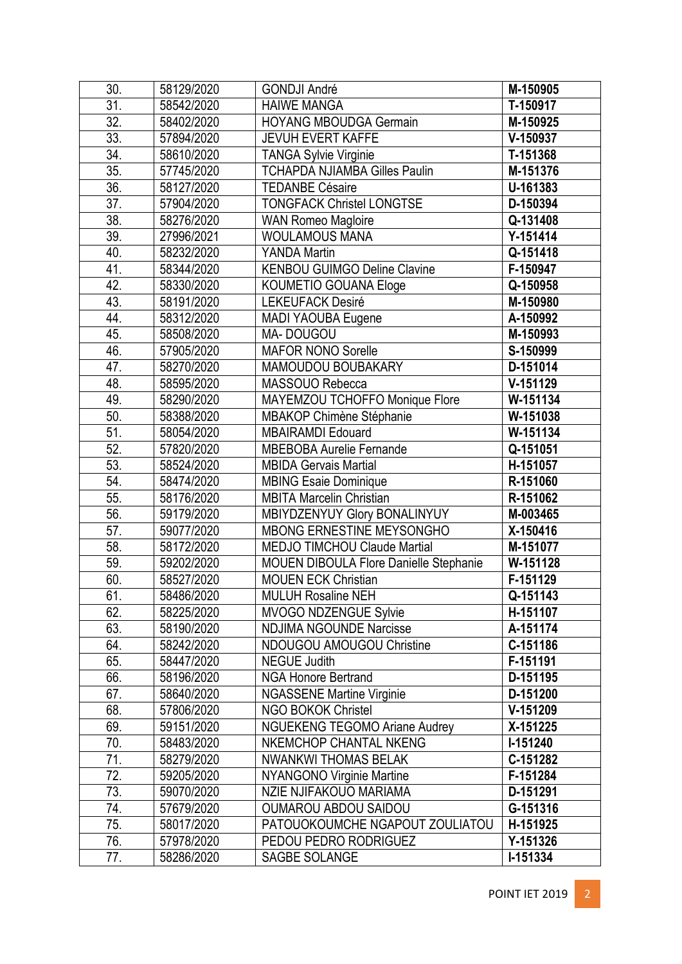| 30.               | 58129/2020 | <b>GONDJI André</b>                    | M-150905   |
|-------------------|------------|----------------------------------------|------------|
| $\overline{31}$ . | 58542/2020 | <b>HAIWE MANGA</b>                     | T-150917   |
| 32.               | 58402/2020 | <b>HOYANG MBOUDGA Germain</b>          | M-150925   |
| 33.               | 57894/2020 | <b>JEVUH EVERT KAFFE</b>               | V-150937   |
| 34.               | 58610/2020 | <b>TANGA Sylvie Virginie</b>           | T-151368   |
| 35.               | 57745/2020 | <b>TCHAPDA NJIAMBA Gilles Paulin</b>   | M-151376   |
| $\overline{36}$   | 58127/2020 | <b>TEDANBE Césaire</b>                 | U-161383   |
| 37.               | 57904/2020 | <b>TONGFACK Christel LONGTSE</b>       | D-150394   |
| 38.               | 58276/2020 | <b>WAN Romeo Magloire</b>              | Q-131408   |
| 39.               | 27996/2021 | <b>WOULAMOUS MANA</b>                  | $Y-151414$ |
| 40.               | 58232/2020 | <b>YANDA Martin</b>                    | Q-151418   |
| 41.               | 58344/2020 | <b>KENBOU GUIMGO Deline Clavine</b>    | F-150947   |
| 42.               | 58330/2020 | KOUMETIO GOUANA Eloge                  | Q-150958   |
| 43.               | 58191/2020 | <b>LEKEUFACK Desiré</b>                | M-150980   |
| 44.               | 58312/2020 | MADI YAOUBA Eugene                     | A-150992   |
| 45.               | 58508/2020 | MA-DOUGOU                              | M-150993   |
| 46.               | 57905/2020 | <b>MAFOR NONO Sorelle</b>              | S-150999   |
| 47.               | 58270/2020 | MAMOUDOU BOUBAKARY                     | D-151014   |
| 48.               | 58595/2020 | MASSOUO Rebecca                        | V-151129   |
| 49.               | 58290/2020 | MAYEMZOU TCHOFFO Monique Flore         | W-151134   |
| 50.               | 58388/2020 | MBAKOP Chimène Stéphanie               | W-151038   |
| 51.               | 58054/2020 | <b>MBAIRAMDI Edouard</b>               | W-151134   |
| 52.               | 57820/2020 | <b>MBEBOBA Aurelie Fernande</b>        | Q-151051   |
| 53.               | 58524/2020 | <b>MBIDA Gervais Martial</b>           | H-151057   |
| 54.               | 58474/2020 | <b>MBING Esaie Dominique</b>           | R-151060   |
| 55.               | 58176/2020 | <b>MBITA Marcelin Christian</b>        | R-151062   |
| 56.               | 59179/2020 | MBIYDZENYUY Glory BONALINYUY           | M-003465   |
| 57.               | 59077/2020 | <b>MBONG ERNESTINE MEYSONGHO</b>       | X-150416   |
| 58.               | 58172/2020 | <b>MEDJO TIMCHOU Claude Martial</b>    | M-151077   |
| 59.               | 59202/2020 | MOUEN DIBOULA Flore Danielle Stephanie | W-151128   |
| 60.               | 58527/2020 | <b>MOUEN ECK Christian</b>             | F-151129   |
| 61.               | 58486/2020 | <b>MULUH Rosaline NEH</b>              | Q-151143   |
| 62.               | 58225/2020 | MVOGO NDZENGUE Sylvie                  | H-151107   |
| 63.               | 58190/2020 | <b>NDJIMA NGOUNDE Narcisse</b>         | A-151174   |
| 64.               | 58242/2020 | NDOUGOU AMOUGOU Christine              | C-151186   |
| 65.               | 58447/2020 | <b>NEGUE Judith</b>                    | F-151191   |
| 66.               | 58196/2020 | <b>NGA Honore Bertrand</b>             | D-151195   |
| 67.               | 58640/2020 | <b>NGASSENE Martine Virginie</b>       | D-151200   |
| 68.               | 57806/2020 | <b>NGO BOKOK Christel</b>              | $V-151209$ |
| 69.               | 59151/2020 | <b>NGUEKENG TEGOMO Ariane Audrey</b>   | X-151225   |
| 70.               | 58483/2020 | <b>NKEMCHOP CHANTAL NKENG</b>          | I-151240   |
| 71.               | 58279/2020 | <b>NWANKWI THOMAS BELAK</b>            | C-151282   |
| 72.               | 59205/2020 | <b>NYANGONO Virginie Martine</b>       | F-151284   |
| 73.               | 59070/2020 | NZIE NJIFAKOUO MARIAMA                 | D-151291   |
| 74.               | 57679/2020 | <b>OUMAROU ABDOU SAIDOU</b>            | G-151316   |
| 75.               | 58017/2020 | PATOUOKOUMCHE NGAPOUT ZOULIATOU        | H-151925   |
| 76.               | 57978/2020 | PEDOU PEDRO RODRIGUEZ                  | Y-151326   |
| 77.               | 58286/2020 | SAGBE SOLANGE                          | I-151334   |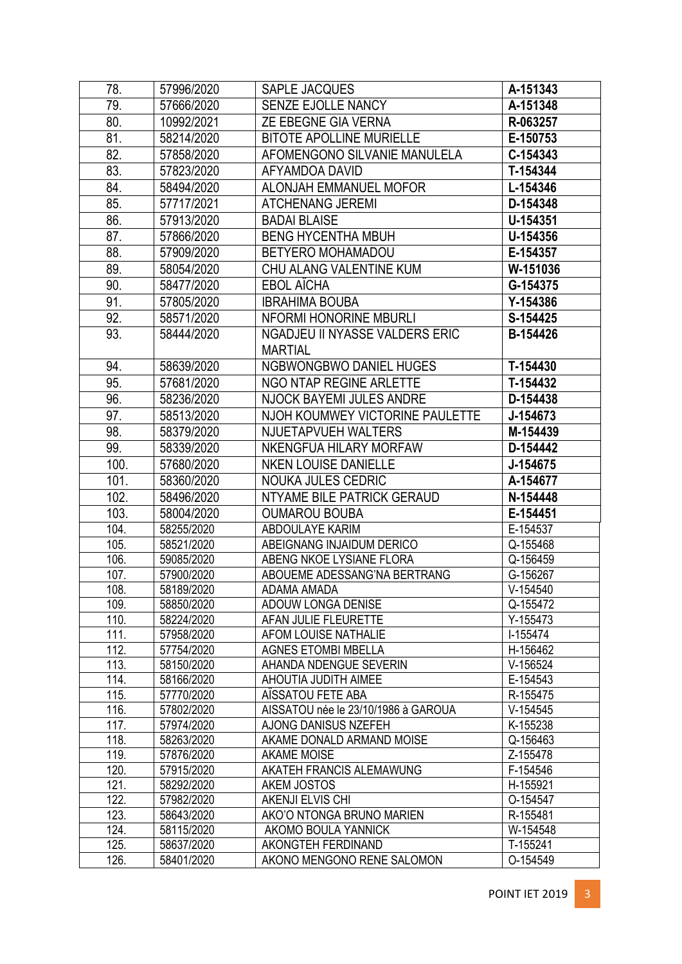| 78.          | 57996/2020               | SAPLE JACQUES                                   | A-151343             |
|--------------|--------------------------|-------------------------------------------------|----------------------|
| 79.          | 57666/2020               | SENZE EJOLLE NANCY                              | A-151348             |
| 80.          | 10992/2021               | ZE EBEGNE GIA VERNA                             | R-063257             |
| 81.          | 58214/2020               | <b>BITOTE APOLLINE MURIELLE</b>                 | E-150753             |
| 82.          | 57858/2020               | AFOMENGONO SILVANIE MANULELA                    | C-154343             |
| 83.          | 57823/2020               | AFYAMDOA DAVID                                  | T-154344             |
| 84.          | 58494/2020               | ALONJAH EMMANUEL MOFOR                          | L-154346             |
| 85.          | 57717/2021               | <b>ATCHENANG JEREMI</b>                         | D-154348             |
| 86.          | 57913/2020               | <b>BADAI BLAISE</b>                             | U-154351             |
| 87.          | 57866/2020               | <b>BENG HYCENTHA MBUH</b>                       | U-154356             |
| 88.          | 57909/2020               | <b>BETYERO MOHAMADOU</b>                        | E-154357             |
| 89.          | 58054/2020               | CHU ALANG VALENTINE KUM                         | W-151036             |
| 90.          | 58477/2020               | <b>EBOL AICHA</b>                               | G-154375             |
| 91.          | 57805/2020               | <b>IBRAHIMA BOUBA</b>                           | Y-154386             |
|              |                          | NFORMI HONORINE MBURLI                          |                      |
| 92.          | 58571/2020               |                                                 | S-154425             |
| 93.          | 58444/2020               | NGADJEU II NYASSE VALDERS ERIC                  | B-154426             |
|              |                          | <b>MARTIAL</b>                                  |                      |
| 94.          | 58639/2020               | <b>NGBWONGBWO DANIEL HUGES</b>                  | T-154430             |
| 95.          | 57681/2020               | NGO NTAP REGINE ARLETTE                         | T-154432             |
| 96.          | 58236/2020               | NJOCK BAYEMI JULES ANDRE                        | D-154438             |
| 97.          | 58513/2020               | NJOH KOUMWEY VICTORINE PAULETTE                 | J-154673             |
| 98.          | 58379/2020               | NJUETAPVUEH WALTERS                             | M-154439             |
| 99.          | 58339/2020               | NKENGFUA HILARY MORFAW                          | D-154442             |
| 100.         | 57680/2020               | <b>NKEN LOUISE DANIELLE</b>                     | J-154675             |
|              |                          |                                                 |                      |
| 101.         | 58360/2020               | <b>NOUKA JULES CEDRIC</b>                       | A-154677             |
| 102.         | 58496/2020               | NTYAME BILE PATRICK GERAUD                      | N-154448             |
| 103.         | 58004/2020               | <b>OUMAROU BOUBA</b>                            | E-154451             |
| 104.         | 58255/2020               | ABDOULAYE KARIM                                 | E-154537             |
| 105.         | 58521/2020               | ABEIGNANG INJAIDUM DERICO                       | Q-155468             |
| 106.         | 59085/2020               | ABENG NKOE LYSIANE FLORA                        | Q-156459             |
| 107.         | 57900/2020               | ABOUEME ADESSANG'NA BERTRANG                    | G-156267             |
| 108.         | 58189/2020               | ADAMA AMADA                                     | V-154540             |
| 109.         | 58850/2020               | ADOUW LONGA DENISE                              | Q-155472             |
| 110.         | 58224/2020               | AFAN JULIE FLEURETTE                            | Y-155473             |
| 111.         | 57958/2020               | AFOM LOUISE NATHALIE                            | I-155474             |
| 112.         | 57754/2020               | <b>AGNES ETOMBI MBELLA</b>                      | H-156462             |
| 113.         | 58150/2020               | AHANDA NDENGUE SEVERIN                          | $V-156524$           |
| 114.         | 58166/2020               | AHOUTIA JUDITH AIMEE                            | E-154543             |
| 115.         | 57770/2020               | AISSATOU FETE ABA                               | R-155475             |
| 116.         | 57802/2020               | AISSATOU née le 23/10/1986 à GAROUA             | $V-154545$           |
| 117.         | 57974/2020               | AJONG DANISUS NZEFEH                            | K-155238             |
| 118.         | 58263/2020               | AKAME DONALD ARMAND MOISE<br><b>AKAME MOISE</b> | Q-156463             |
| 119.<br>120. | 57876/2020<br>57915/2020 | AKATEH FRANCIS ALEMAWUNG                        | Z-155478<br>F-154546 |
| 121.         | 58292/2020               | AKEM JOSTOS                                     | H-155921             |
| 122.         | 57982/2020               | AKENJI ELVIS CHI                                | O-154547             |
| 123.         | 58643/2020               | AKO'O NTONGA BRUNO MARIEN                       | R-155481             |
| 124.         | 58115/2020               | AKOMO BOULA YANNICK                             | W-154548             |
| 125.<br>126. | 58637/2020               | AKONGTEH FERDINAND                              | T-155241             |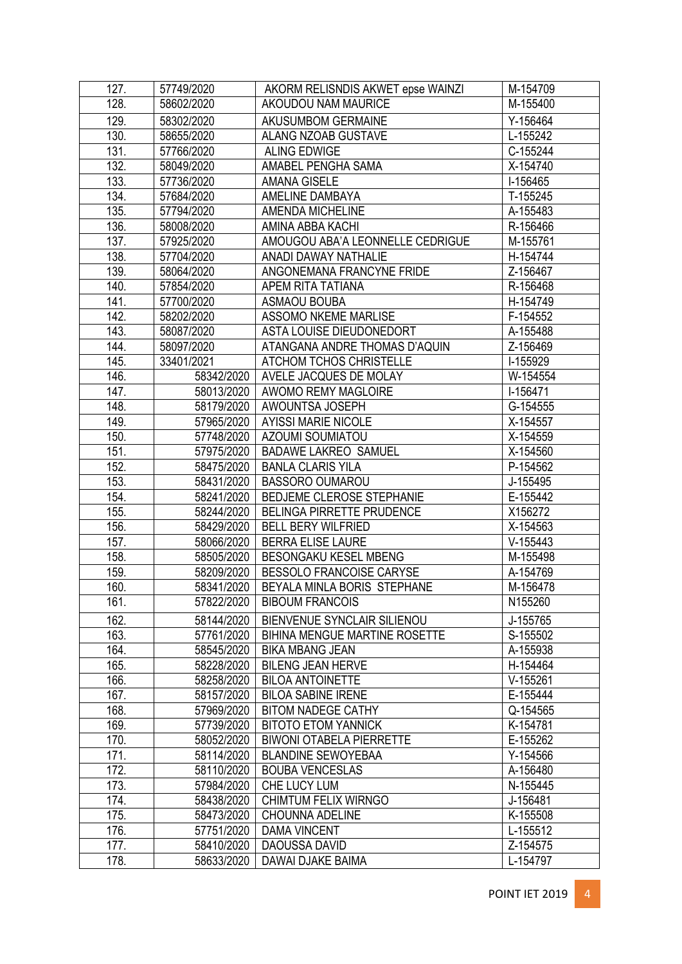| 127. | 57749/2020 | AKORM RELISNDIS AKWET epse WAINZI    | M-154709   |
|------|------------|--------------------------------------|------------|
| 128. | 58602/2020 | AKOUDOU NAM MAURICE                  | M-155400   |
| 129. | 58302/2020 | AKUSUMBOM GERMAINE                   | Y-156464   |
| 130. | 58655/2020 | ALANG NZOAB GUSTAVE                  | L-155242   |
| 131. | 57766/2020 | <b>ALING EDWIGE</b>                  | C-155244   |
| 132. | 58049/2020 | AMABEL PENGHA SAMA                   | X-154740   |
| 133. | 57736/2020 | <b>AMANA GISELE</b>                  | I-156465   |
| 134. | 57684/2020 | AMELINE DAMBAYA                      | T-155245   |
| 135. | 57794/2020 | AMENDA MICHELINE                     | A-155483   |
| 136. | 58008/2020 | AMINA ABBA KACHI                     | R-156466   |
| 137. | 57925/2020 | AMOUGOU ABA'A LEONNELLE CEDRIGUE     | M-155761   |
| 138. | 57704/2020 | ANADI DAWAY NATHALIE                 | H-154744   |
| 139. | 58064/2020 | ANGONEMANA FRANCYNE FRIDE            | Z-156467   |
| 140. | 57854/2020 | APEM RITA TATIANA                    | R-156468   |
| 141. | 57700/2020 | <b>ASMAOU BOUBA</b>                  | H-154749   |
| 142. | 58202/2020 | <b>ASSOMO NKEME MARLISE</b>          | F-154552   |
| 143. | 58087/2020 | ASTA LOUISE DIEUDONEDORT             | A-155488   |
| 144. | 58097/2020 | ATANGANA ANDRE THOMAS D'AQUIN        | Z-156469   |
| 145. | 33401/2021 | ATCHOM TCHOS CHRISTELLE              | I-155929   |
| 146. | 58342/2020 | AVELE JACQUES DE MOLAY               | W-154554   |
| 147. | 58013/2020 | AWOMO REMY MAGLOIRE                  | I-156471   |
| 148. | 58179/2020 | AWOUNTSA JOSEPH                      | G-154555   |
| 149. | 57965/2020 | <b>AYISSI MARIE NICOLE</b>           | X-154557   |
| 150. | 57748/2020 | AZOUMI SOUMIATOU                     | X-154559   |
| 151. | 57975/2020 | <b>BADAWE LAKREO SAMUEL</b>          | X-154560   |
| 152. | 58475/2020 | <b>BANLA CLARIS YILA</b>             | P-154562   |
| 153. | 58431/2020 | <b>BASSORO OUMAROU</b>               | J-155495   |
| 154. | 58241/2020 | BEDJEME CLEROSE STEPHANIE            | E-155442   |
| 155. | 58244/2020 | BELINGA PIRRETTE PRUDENCE            | X156272    |
| 156. | 58429/2020 | <b>BELL BERY WILFRIED</b>            | X-154563   |
| 157. | 58066/2020 | <b>BERRA ELISE LAURE</b>             | $V-155443$ |
| 158. | 58505/2020 | BESONGAKU KESEL MBENG                | M-155498   |
| 159. | 58209/2020 | BESSOLO FRANCOISE CARYSE             | A-154769   |
| 160. | 58341/2020 | BEYALA MINLA BORIS STEPHANE          | M-156478   |
| 161. | 57822/2020 | <b>BIBOUM FRANCOIS</b>               | N155260    |
| 162. | 58144/2020 | <b>BIENVENUE SYNCLAIR SILIENOU</b>   | J-155765   |
| 163. | 57761/2020 | <b>BIHINA MENGUE MARTINE ROSETTE</b> | S-155502   |
| 164. | 58545/2020 | <b>BIKA MBANG JEAN</b>               | A-155938   |
| 165. | 58228/2020 | <b>BILENG JEAN HERVE</b>             | H-154464   |
| 166. | 58258/2020 | <b>BILOA ANTOINETTE</b>              | $V-155261$ |
| 167. | 58157/2020 | <b>BILOA SABINE IRENE</b>            | E-155444   |
| 168. | 57969/2020 | <b>BITOM NADEGE CATHY</b>            | Q-154565   |
| 169. | 57739/2020 | <b>BITOTO ETOM YANNICK</b>           | K-154781   |
| 170. | 58052/2020 | <b>BIWONI OTABELA PIERRETTE</b>      | E-155262   |
| 171. | 58114/2020 | <b>BLANDINE SEWOYEBAA</b>            | Y-154566   |
| 172. | 58110/2020 | <b>BOUBA VENCESLAS</b>               | A-156480   |
| 173. | 57984/2020 | CHE LUCY LUM                         | N-155445   |
| 174. | 58438/2020 | <b>CHIMTUM FELIX WIRNGO</b>          | J-156481   |
| 175. | 58473/2020 | <b>CHOUNNA ADELINE</b>               | K-155508   |
| 176. | 57751/2020 | <b>DAMA VINCENT</b>                  | L-155512   |
| 177. | 58410/2020 | DAOUSSA DAVID                        | Z-154575   |
| 178. | 58633/2020 | DAWAI DJAKE BAIMA                    | L-154797   |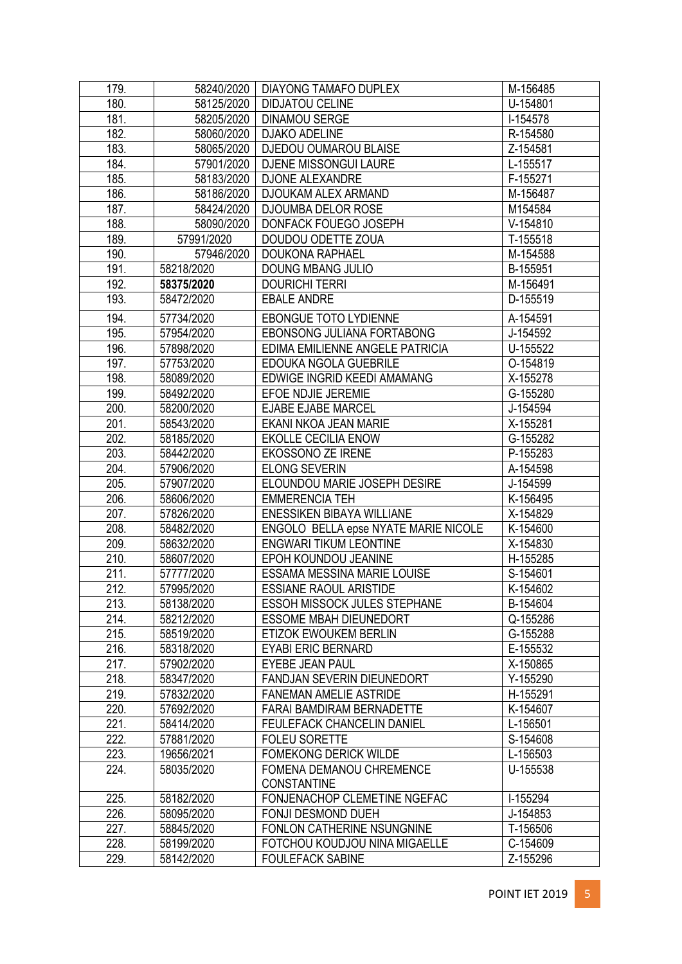| 179. | 58240/2020 | DIAYONG TAMAFO DUPLEX                | M-156485   |
|------|------------|--------------------------------------|------------|
| 180. | 58125/2020 | <b>DIDJATOU CELINE</b>               | U-154801   |
| 181. | 58205/2020 | <b>DINAMOU SERGE</b>                 | I-154578   |
| 182. | 58060/2020 | <b>DJAKO ADELINE</b>                 | R-154580   |
| 183. | 58065/2020 | <b>DJEDOU OUMAROU BLAISE</b>         | Z-154581   |
| 184. | 57901/2020 | DJENE MISSONGUI LAURE                | L-155517   |
| 185. | 58183/2020 | <b>DJONE ALEXANDRE</b>               | F-155271   |
| 186. | 58186/2020 | DJOUKAM ALEX ARMAND                  | M-156487   |
| 187. | 58424/2020 | <b>DJOUMBA DELOR ROSE</b>            | M154584    |
| 188. | 58090/2020 | DONFACK FOUEGO JOSEPH                | $V-154810$ |
| 189. | 57991/2020 | DOUDOU ODETTE ZOUA                   | T-155518   |
| 190. | 57946/2020 | <b>DOUKONA RAPHAEL</b>               | M-154588   |
| 191. | 58218/2020 | <b>DOUNG MBANG JULIO</b>             | B-155951   |
| 192. | 58375/2020 | <b>DOURICHI TERRI</b>                | M-156491   |
| 193. | 58472/2020 | <b>EBALE ANDRE</b>                   | D-155519   |
| 194. | 57734/2020 | <b>EBONGUE TOTO LYDIENNE</b>         | A-154591   |
| 195. | 57954/2020 | EBONSONG JULIANA FORTABONG           | J-154592   |
| 196. | 57898/2020 | EDIMA EMILIENNE ANGELE PATRICIA      | U-155522   |
| 197. | 57753/2020 | EDOUKA NGOLA GUEBRILE                | O-154819   |
| 198. | 58089/2020 | EDWIGE INGRID KEEDI AMAMANG          | X-155278   |
| 199. | 58492/2020 | EFOE NDJIE JEREMIE                   | G-155280   |
| 200. | 58200/2020 | <b>EJABE EJABE MARCEL</b>            | J-154594   |
| 201. | 58543/2020 | EKANI NKOA JEAN MARIE                | X-155281   |
| 202. | 58185/2020 | <b>EKOLLE CECILIA ENOW</b>           | G-155282   |
| 203. | 58442/2020 | EKOSSONO ZE IRENE                    | P-155283   |
| 204. | 57906/2020 | <b>ELONG SEVERIN</b>                 | A-154598   |
| 205. | 57907/2020 | ELOUNDOU MARIE JOSEPH DESIRE         | J-154599   |
| 206. | 58606/2020 | <b>EMMERENCIA TEH</b>                | K-156495   |
| 207. | 57826/2020 | ENESSIKEN BIBAYA WILLIANE            | X-154829   |
| 208. | 58482/2020 | ENGOLO BELLA epse NYATE MARIE NICOLE | K-154600   |
| 209. | 58632/2020 | <b>ENGWARI TIKUM LEONTINE</b>        | X-154830   |
| 210. | 58607/2020 | EPOH KOUNDOU JEANINE                 | H-155285   |
| 211. | 57777/2020 | ESSAMA MESSINA MARIE LOUISE          | S-154601   |
| 212. | 57995/2020 | <b>ESSIANE RAOUL ARISTIDE</b>        | K-154602   |
| 213. | 58138/2020 | <b>ESSOH MISSOCK JULES STEPHANE</b>  | B-154604   |
| 214. | 58212/2020 | <b>ESSOME MBAH DIEUNEDORT</b>        | Q-155286   |
| 215. | 58519/2020 | ETIZOK EWOUKEM BERLIN                | G-155288   |
| 216. | 58318/2020 | <b>EYABI ERIC BERNARD</b>            | E-155532   |
| 217. | 57902/2020 | EYEBE JEAN PAUL                      | X-150865   |
| 218. | 58347/2020 | FANDJAN SEVERIN DIEUNEDORT           | Y-155290   |
| 219. | 57832/2020 | <b>FANEMAN AMELIE ASTRIDE</b>        | H-155291   |
| 220. | 57692/2020 | FARAI BAMDIRAM BERNADETTE            | K-154607   |
| 221. | 58414/2020 | FEULEFACK CHANCELIN DANIEL           | L-156501   |
| 222. | 57881/2020 | <b>FOLEU SORETTE</b>                 | S-154608   |
| 223. | 19656/2021 | <b>FOMEKONG DERICK WILDE</b>         | L-156503   |
| 224. | 58035/2020 | FOMENA DEMANOU CHREMENCE             | U-155538   |
|      |            | <b>CONSTANTINE</b>                   |            |
| 225. | 58182/2020 | FONJENACHOP CLEMETINE NGEFAC         | I-155294   |
| 226. | 58095/2020 | FONJI DESMOND DUEH                   | J-154853   |
| 227. | 58845/2020 | FONLON CATHERINE NSUNGNINE           | T-156506   |
| 228. | 58199/2020 | FOTCHOU KOUDJOU NINA MIGAELLE        | C-154609   |
| 229. | 58142/2020 | <b>FOULEFACK SABINE</b>              | Z-155296   |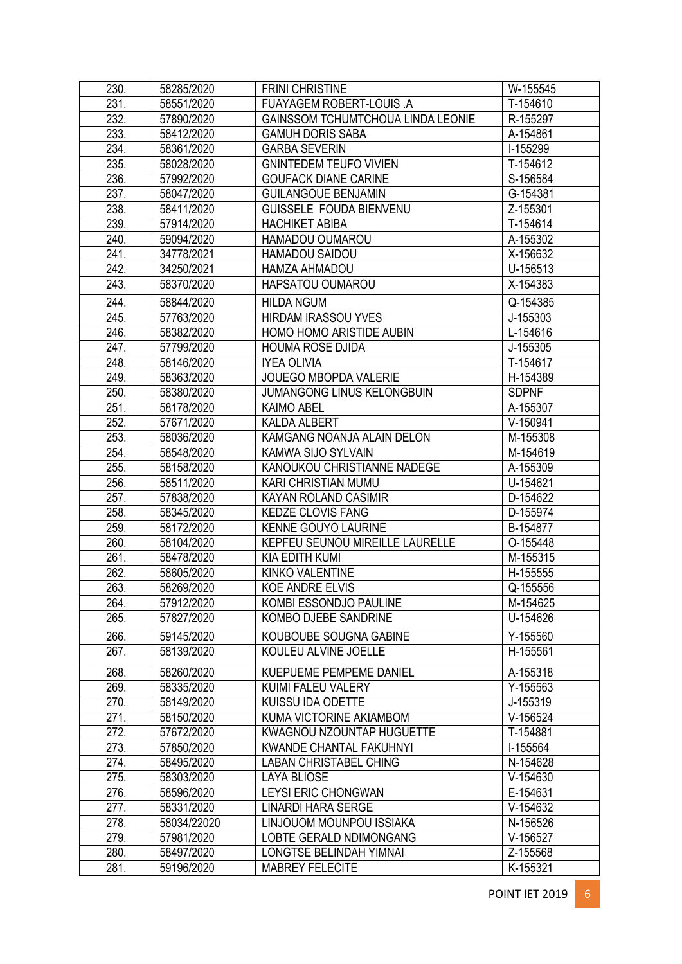| 230. | 58285/2020  | <b>FRINI CHRISTINE</b>                   | W-155545     |
|------|-------------|------------------------------------------|--------------|
| 231. | 58551/2020  | FUAYAGEM ROBERT-LOUIS .A                 | T-154610     |
| 232. | 57890/2020  | <b>GAINSSOM TCHUMTCHOUA LINDA LEONIE</b> | R-155297     |
| 233. | 58412/2020  | <b>GAMUH DORIS SABA</b>                  | A-154861     |
| 234. | 58361/2020  | <b>GARBA SEVERIN</b>                     | I-155299     |
| 235. | 58028/2020  | <b>GNINTEDEM TEUFO VIVIEN</b>            | T-154612     |
| 236. | 57992/2020  | <b>GOUFACK DIANE CARINE</b>              | S-156584     |
| 237. | 58047/2020  | <b>GUILANGOUE BENJAMIN</b>               | G-154381     |
| 238. | 58411/2020  | GUISSELE FOUDA BIENVENU                  | Z-155301     |
| 239. | 57914/2020  | <b>HACHIKET ABIBA</b>                    | T-154614     |
| 240. | 59094/2020  | HAMADOU OUMAROU                          | A-155302     |
| 241. | 34778/2021  | HAMADOU SAIDOU                           | X-156632     |
| 242. | 34250/2021  | HAMZA AHMADOU                            | U-156513     |
| 243. | 58370/2020  | HAPSATOU OUMAROU                         | X-154383     |
| 244. | 58844/2020  | <b>HILDA NGUM</b>                        | Q-154385     |
| 245. | 57763/2020  | <b>HIRDAM IRASSOU YVES</b>               | J-155303     |
| 246. | 58382/2020  | HOMO HOMO ARISTIDE AUBIN                 | L-154616     |
| 247. | 57799/2020  | <b>HOUMA ROSE DJIDA</b>                  | J-155305     |
| 248. | 58146/2020  | <b>IYEA OLIVIA</b>                       | T-154617     |
| 249. | 58363/2020  | <b>JOUEGO MBOPDA VALERIE</b>             | H-154389     |
| 250. | 58380/2020  | <b>JUMANGONG LINUS KELONGBUIN</b>        | <b>SDPNF</b> |
| 251. | 58178/2020  | <b>KAIMO ABEL</b>                        | A-155307     |
| 252. | 57671/2020  | <b>KALDA ALBERT</b>                      | $V-150941$   |
| 253. | 58036/2020  | KAMGANG NOANJA ALAIN DELON               | M-155308     |
| 254. | 58548/2020  | KAMWA SIJO SYLVAIN                       | M-154619     |
| 255. | 58158/2020  | KANOUKOU CHRISTIANNE NADEGE              | A-155309     |
| 256. | 58511/2020  | <b>KARI CHRISTIAN MUMU</b>               | U-154621     |
| 257. | 57838/2020  | KAYAN ROLAND CASIMIR                     | D-154622     |
| 258. | 58345/2020  | <b>KEDZE CLOVIS FANG</b>                 | D-155974     |
| 259. | 58172/2020  | KENNE GOUYO LAURINE                      | B-154877     |
| 260. | 58104/2020  | KEPFEU SEUNOU MIREILLE LAURELLE          | O-155448     |
| 261. | 58478/2020  | <b>KIA EDITH KUMI</b>                    | M-155315     |
| 262. | 58605/2020  | KINKO VALENTINE                          | H-155555     |
| 263. | 58269/2020  | <b>KOE ANDRE ELVIS</b>                   | Q-155556     |
| 264. | 57912/2020  | KOMBI ESSONDJO PAULINE                   | M-154625     |
| 265. | 57827/2020  | KOMBO DJEBE SANDRINE                     | U-154626     |
| 266. | 59145/2020  | KOUBOUBE SOUGNA GABINE                   | Y-155560     |
| 267. | 58139/2020  | KOULEU ALVINE JOELLE                     | H-155561     |
|      |             |                                          |              |
| 268. | 58260/2020  | KUEPUEME PEMPEME DANIEL                  | A-155318     |
| 269. | 58335/2020  | KUIMI FALEU VALERY                       | Y-155563     |
| 270. | 58149/2020  | KUISSU IDA ODETTE                        | J-155319     |
| 271. | 58150/2020  | KUMA VICTORINE AKIAMBOM                  | $V-156524$   |
| 272. | 57672/2020  | KWAGNOU NZOUNTAP HUGUETTE                | T-154881     |
| 273. | 57850/2020  | KWANDE CHANTAL FAKUHNYI                  | I-155564     |
| 274. | 58495/2020  | <b>LABAN CHRISTABEL CHING</b>            | N-154628     |
| 275. | 58303/2020  | <b>LAYA BLIOSE</b>                       | $V-154630$   |
| 276. | 58596/2020  | LEYSI ERIC CHONGWAN                      | E-154631     |
| 277. | 58331/2020  | <b>LINARDI HARA SERGE</b>                | V-154632     |
| 278. | 58034/22020 | LINJOUOM MOUNPOU ISSIAKA                 | N-156526     |
| 279. | 57981/2020  | LOBTE GERALD NDIMONGANG                  | $V-156527$   |
| 280. | 58497/2020  | LONGTSE BELINDAH YIMNAI                  | Z-155568     |
| 281. | 59196/2020  | <b>MABREY FELECITE</b>                   | K-155321     |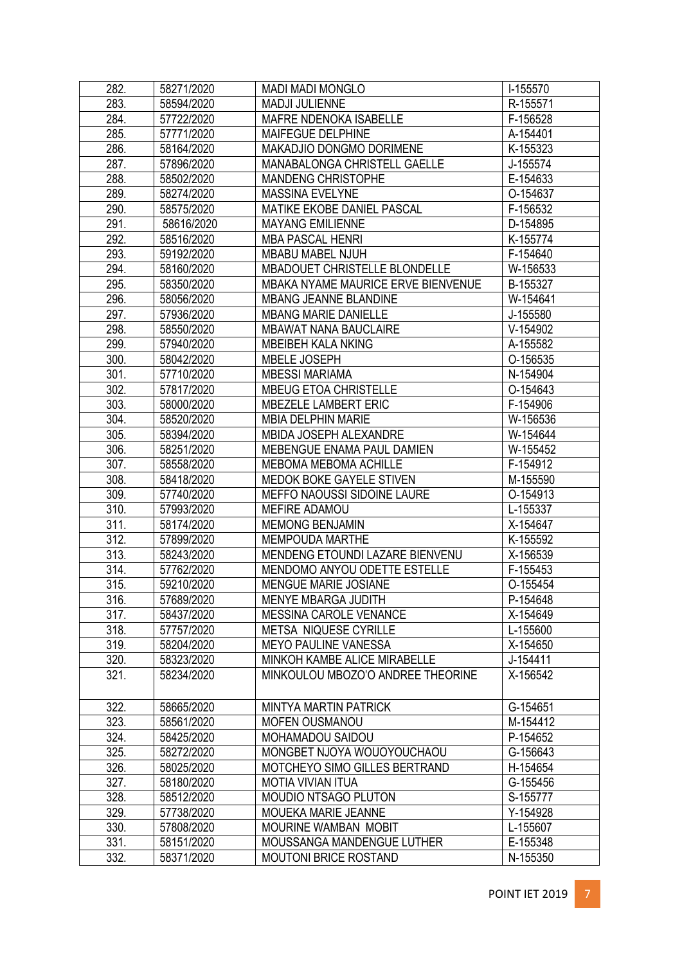| 282. | 58271/2020 | <b>MADI MADI MONGLO</b>            | I-155570 |
|------|------------|------------------------------------|----------|
| 283. | 58594/2020 | <b>MADJI JULIENNE</b>              | R-155571 |
| 284. | 57722/2020 | MAFRE NDENOKA ISABELLE             | F-156528 |
| 285. | 57771/2020 | MAIFEGUE DELPHINE                  | A-154401 |
| 286. | 58164/2020 | MAKADJIO DONGMO DORIMENE           | K-155323 |
| 287. | 57896/2020 | MANABALONGA CHRISTELL GAELLE       | J-155574 |
| 288. | 58502/2020 | <b>MANDENG CHRISTOPHE</b>          | E-154633 |
| 289. | 58274/2020 | <b>MASSINA EVELYNE</b>             | O-154637 |
| 290. | 58575/2020 | MATIKE EKOBE DANIEL PASCAL         | F-156532 |
| 291. | 58616/2020 | <b>MAYANG EMILIENNE</b>            | D-154895 |
| 292. | 58516/2020 | <b>MBA PASCAL HENRI</b>            | K-155774 |
| 293. | 59192/2020 | MBABU MABEL NJUH                   | F-154640 |
| 294. | 58160/2020 | MBADOUET CHRISTELLE BLONDELLE      | W-156533 |
| 295. | 58350/2020 | MBAKA NYAME MAURICE ERVE BIENVENUE | B-155327 |
| 296. | 58056/2020 | <b>MBANG JEANNE BLANDINE</b>       | W-154641 |
| 297. | 57936/2020 | <b>MBANG MARIE DANIELLE</b>        | J-155580 |
| 298. | 58550/2020 | <b>MBAWAT NANA BAUCLAIRE</b>       | V-154902 |
| 299. | 57940/2020 | <b>MBEIBEH KALA NKING</b>          | A-155582 |
| 300. | 58042/2020 | <b>MBELE JOSEPH</b>                | O-156535 |
| 301. | 57710/2020 | <b>MBESSI MARIAMA</b>              | N-154904 |
| 302. | 57817/2020 | <b>MBEUG ETOA CHRISTELLE</b>       | O-154643 |
| 303. | 58000/2020 | MBEZELE LAMBERT ERIC               | F-154906 |
| 304. | 58520/2020 | <b>MBIA DELPHIN MARIE</b>          | W-156536 |
| 305. | 58394/2020 | MBIDA JOSEPH ALEXANDRE             | W-154644 |
| 306. | 58251/2020 | MEBENGUE ENAMA PAUL DAMIEN         | W-155452 |
| 307. | 58558/2020 | MEBOMA MEBOMA ACHILLE              | F-154912 |
| 308. | 58418/2020 | MEDOK BOKE GAYELE STIVEN           | M-155590 |
| 309. | 57740/2020 | MEFFO NAOUSSI SIDOINE LAURE        | O-154913 |
| 310. | 57993/2020 | <b>MEFIRE ADAMOU</b>               | L-155337 |
| 311. | 58174/2020 | <b>MEMONG BENJAMIN</b>             | X-154647 |
| 312. | 57899/2020 | <b>MEMPOUDA MARTHE</b>             | K-155592 |
| 313. | 58243/2020 | MENDENG ETOUNDI LAZARE BIENVENU    | X-156539 |
| 314. | 57762/2020 | MENDOMO ANYOU ODETTE ESTELLE       | F-155453 |
| 315. | 59210/2020 | <b>MENGUE MARIE JOSIANE</b>        | O-155454 |
| 316. | 57689/2020 | MENYE MBARGA JUDITH                | P-154648 |
| 317. | 58437/2020 | MESSINA CAROLE VENANCE             | X-154649 |
| 318. | 57757/2020 | METSA NIQUESE CYRILLE              | L-155600 |
| 319. | 58204/2020 | <b>MEYO PAULINE VANESSA</b>        | X-154650 |
| 320. | 58323/2020 | MINKOH KAMBE ALICE MIRABELLE       | J-154411 |
| 321. | 58234/2020 | MINKOULOU MBOZO'O ANDREE THEORINE  | X-156542 |
|      |            |                                    |          |
| 322. | 58665/2020 | <b>MINTYA MARTIN PATRICK</b>       | G-154651 |
| 323. | 58561/2020 | <b>MOFEN OUSMANOU</b>              | M-154412 |
| 324. | 58425/2020 | MOHAMADOU SAIDOU                   | P-154652 |
| 325. | 58272/2020 | MONGBET NJOYA WOUOYOUCHAOU         | G-156643 |
| 326. | 58025/2020 | MOTCHEYO SIMO GILLES BERTRAND      | H-154654 |
| 327. | 58180/2020 | <b>MOTIA VIVIAN ITUA</b>           | G-155456 |
| 328. | 58512/2020 | <b>MOUDIO NTSAGO PLUTON</b>        | S-155777 |
| 329. | 57738/2020 | MOUEKA MARIE JEANNE                | Y-154928 |
| 330. | 57808/2020 | MOURINE WAMBAN MOBIT               | L-155607 |
| 331. | 58151/2020 | MOUSSANGA MANDENGUE LUTHER         | E-155348 |
| 332. | 58371/2020 | <b>MOUTONI BRICE ROSTAND</b>       | N-155350 |
|      |            |                                    |          |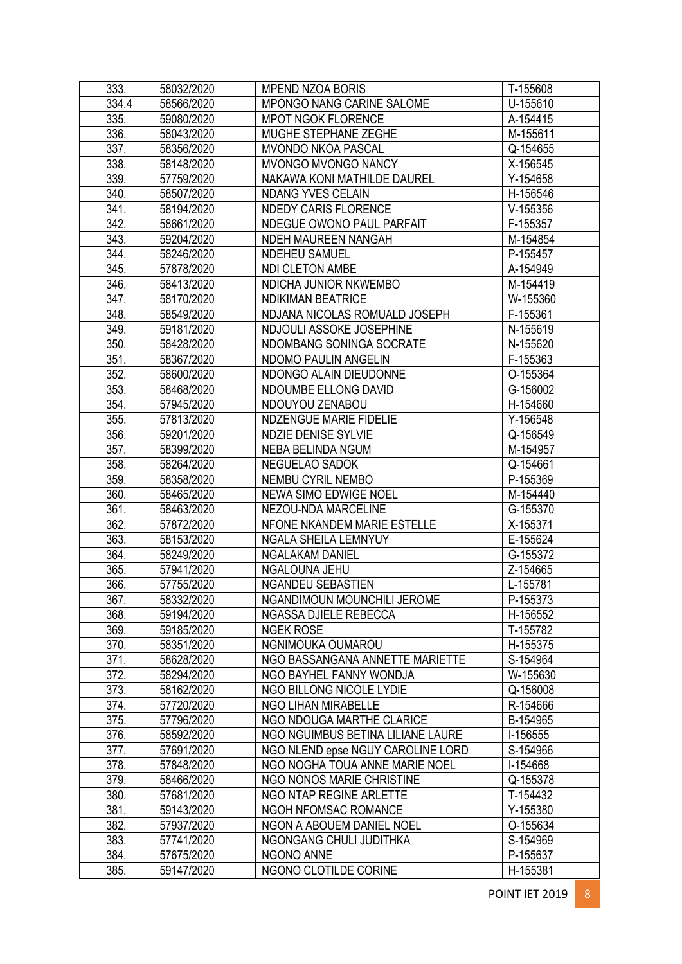| 333.               | 58032/2020 | <b>MPEND NZOA BORIS</b>           | T-155608   |
|--------------------|------------|-----------------------------------|------------|
| 334.4              | 58566/2020 | MPONGO NANG CARINE SALOME         | U-155610   |
| 335.               | 59080/2020 | <b>MPOT NGOK FLORENCE</b>         | A-154415   |
| 336.               | 58043/2020 | MUGHE STEPHANE ZEGHE              | M-155611   |
| 337.               | 58356/2020 | <b>MVONDO NKOA PASCAL</b>         | Q-154655   |
| 338.               | 58148/2020 | MVONGO MVONGO NANCY               | X-156545   |
| 339.               | 57759/2020 | NAKAWA KONI MATHILDE DAUREL       | Y-154658   |
| 340.               | 58507/2020 | <b>NDANG YVES CELAIN</b>          | H-156546   |
| 341.               | 58194/2020 | <b>NDEDY CARIS FLORENCE</b>       | $V-155356$ |
| 342.               | 58661/2020 | NDEGUE OWONO PAUL PARFAIT         | F-155357   |
| 343.               | 59204/2020 | NDEH MAUREEN NANGAH               | M-154854   |
| 344.               | 58246/2020 | <b>NDEHEU SAMUEL</b>              | P-155457   |
| 345.               | 57878/2020 | NDI CLETON AMBE                   | A-154949   |
| 346.               | 58413/2020 | NDICHA JUNIOR NKWEMBO             | M-154419   |
| 347.               | 58170/2020 | <b>NDIKIMAN BEATRICE</b>          | W-155360   |
| 348.               | 58549/2020 | NDJANA NICOLAS ROMUALD JOSEPH     | F-155361   |
| 349.               | 59181/2020 | NDJOULI ASSOKE JOSEPHINE          | N-155619   |
| 350.               | 58428/2020 | NDOMBANG SONINGA SOCRATE          | N-155620   |
| 351.               | 58367/2020 | NDOMO PAULIN ANGELIN              | F-155363   |
| 352.               | 58600/2020 | NDONGO ALAIN DIEUDONNE            | O-155364   |
| 353.               | 58468/2020 | NDOUMBE ELLONG DAVID              | G-156002   |
| 354.               | 57945/2020 | NDOUYOU ZENABOU                   | H-154660   |
| 355.               | 57813/2020 | NDZENGUE MARIE FIDELIE            | Y-156548   |
| 356.               | 59201/2020 | <b>NDZIE DENISE SYLVIE</b>        | Q-156549   |
| $\overline{357}$ . | 58399/2020 | NEBA BELINDA NGUM                 | M-154957   |
| 358.               | 58264/2020 | NEGUELAO SADOK                    | Q-154661   |
| 359.               | 58358/2020 | NEMBU CYRIL NEMBO                 | P-155369   |
| 360.               | 58465/2020 | <b>NEWA SIMO EDWIGE NOEL</b>      | M-154440   |
| 361.               | 58463/2020 | NEZOU-NDA MARCELINE               | G-155370   |
| 362.               | 57872/2020 | NFONE NKANDEM MARIE ESTELLE       | X-155371   |
| 363.               | 58153/2020 | NGALA SHEILA LEMNYUY              | E-155624   |
| 364.               | 58249/2020 | <b>NGALAKAM DANIEL</b>            | G-155372   |
| 365.               | 57941/2020 | NGALOUNA JEHU                     | Z-154665   |
| 366.               | 57755/2020 | <b>NGANDEU SEBASTIEN</b>          | L-155781   |
| 367.               | 58332/2020 | NGANDIMOUN MOUNCHILI JEROME       | P-155373   |
| 368.               | 59194/2020 | NGASSA DJIELE REBECCA             | H-156552   |
| 369.               | 59185/2020 | <b>NGEK ROSE</b>                  | T-155782   |
| 370.               | 58351/2020 | NGNIMOUKA OUMAROU                 | H-155375   |
| 371.               | 58628/2020 | NGO BASSANGANA ANNETTE MARIETTE   | S-154964   |
| 372.               | 58294/2020 | NGO BAYHEL FANNY WONDJA           | W-155630   |
| 373.               | 58162/2020 | NGO BILLONG NICOLE LYDIE          | Q-156008   |
| 374.               | 57720/2020 | NGO LIHAN MIRABELLE               | R-154666   |
| 375.               | 57796/2020 | NGO NDOUGA MARTHE CLARICE         | B-154965   |
| 376.               | 58592/2020 | NGO NGUIMBUS BETINA LILIANE LAURE | I-156555   |
| 377.               | 57691/2020 | NGO NLEND epse NGUY CAROLINE LORD | S-154966   |
| 378.               | 57848/2020 | NGO NOGHA TOUA ANNE MARIE NOEL    | I-154668   |
| 379.               | 58466/2020 | NGO NONOS MARIE CHRISTINE         | Q-155378   |
| 380.               | 57681/2020 | NGO NTAP REGINE ARLETTE           | T-154432   |
| 381.               | 59143/2020 | NGOH NFOMSAC ROMANCE              | Y-155380   |
| 382.               | 57937/2020 | NGON A ABOUEM DANIEL NOEL         | O-155634   |
| 383.               | 57741/2020 | NGONGANG CHULI JUDITHKA           | S-154969   |
| 384.               | 57675/2020 | NGONO ANNE                        | P-155637   |
| 385.               | 59147/2020 | NGONO CLOTILDE CORINE             | H-155381   |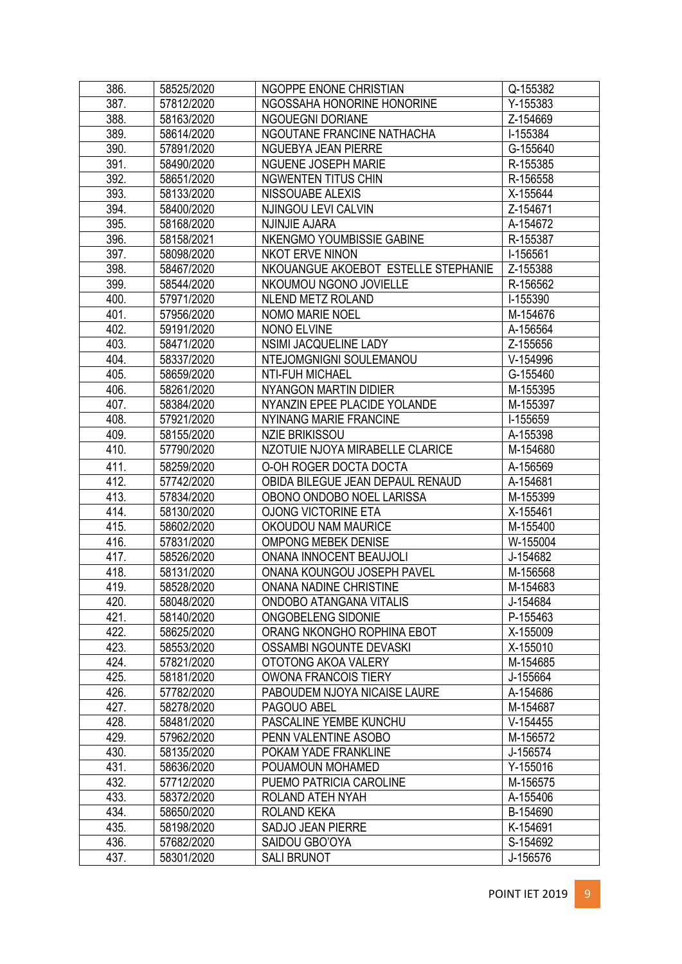| 386.              | 58525/2020               | NGOPPE ENONE CHRISTIAN                 | Q-155382             |
|-------------------|--------------------------|----------------------------------------|----------------------|
| 387.              | 57812/2020               | NGOSSAHA HONORINE HONORINE             | Y-155383             |
| 388.              | 58163/2020               | <b>NGOUEGNI DORIANE</b>                | Z-154669             |
| 389.              | 58614/2020               | NGOUTANE FRANCINE NATHACHA             | I-155384             |
| 390.              | 57891/2020               | NGUEBYA JEAN PIERRE                    | G-155640             |
| 391.              | 58490/2020               | NGUENE JOSEPH MARIE                    | R-155385             |
| 392.              | 58651/2020               | <b>NGWENTEN TITUS CHIN</b>             | R-156558             |
| 393.              | 58133/2020               | NISSOUABE ALEXIS                       | X-155644             |
| 394.              | 58400/2020               | NJINGOU LEVI CALVIN                    | Z-154671             |
| 395.              | 58168/2020               | NJINJIE AJARA                          | A-154672             |
| 396.              | 58158/2021               | NKENGMO YOUMBISSIE GABINE              | R-155387             |
| $\overline{3}97.$ | 58098/2020               | NKOT ERVE NINON                        | I-156561             |
| 398.              | 58467/2020               | NKOUANGUE AKOEBOT ESTELLE STEPHANIE    | Z-155388             |
| 399.              | 58544/2020               | NKOUMOU NGONO JOVIELLE                 | R-156562             |
| 400.              | 57971/2020               | NLEND METZ ROLAND                      | I-155390             |
| 401.              | 57956/2020               | <b>NOMO MARIE NOEL</b>                 | M-154676             |
| 402.              | 59191/2020               | <b>NONO ELVINE</b>                     | A-156564             |
| 403.              | 58471/2020               | NSIMI JACQUELINE LADY                  | Z-155656             |
| 404.              | 58337/2020               | NTEJOMGNIGNI SOULEMANOU                | $V-154996$           |
| 405.              | 58659/2020               | <b>NTI-FUH MICHAEL</b>                 | G-155460             |
| 406.              | 58261/2020               | NYANGON MARTIN DIDIER                  | M-155395             |
| 407.              | 58384/2020               | NYANZIN EPEE PLACIDE YOLANDE           | M-155397             |
| 408.              | 57921/2020               | NYINANG MARIE FRANCINE                 | I-155659             |
| 409.              | 58155/2020               | <b>NZIE BRIKISSOU</b>                  | A-155398             |
| 410.              | 57790/2020               | NZOTUIE NJOYA MIRABELLE CLARICE        | M-154680             |
| 411.              | 58259/2020               | O-OH ROGER DOCTA DOCTA                 | A-156569             |
| 412.              | 57742/2020               | OBIDA BILEGUE JEAN DEPAUL RENAUD       | A-154681             |
| 413.              | 57834/2020               | OBONO ONDOBO NOEL LARISSA              | M-155399             |
| 414.              | 58130/2020               | <b>OJONG VICTORINE ETA</b>             | X-155461             |
| 415.              | 58602/2020               | OKOUDOU NAM MAURICE                    | M-155400             |
| 416.              | 57831/2020               | <b>OMPONG MEBEK DENISE</b>             | W-155004             |
| 417.              | 58526/2020               | ONANA INNOCENT BEAUJOLI                | J-154682             |
| 418.              | 58131/2020               | ONANA KOUNGOU JOSEPH PAVEL             | M-156568             |
| 419.              | 58528/2020               | ONANA NADINE CHRISTINE                 | M-154683             |
| 420.              | 58048/2020               | ONDOBO ATANGANA VITALIS                | J-154684             |
| 421.              | 58140/2020               | ONGOBELENG SIDONIE                     | P-155463             |
| 422.              | 58625/2020               | ORANG NKONGHO ROPHINA EBOT             | X-155009             |
| 423.              | 58553/2020               | OSSAMBI NGOUNTE DEVASKI                | X-155010             |
| 424.              | 57821/2020               | OTOTONG AKOA VALERY                    | M-154685             |
| 425.              | 58181/2020               | OWONA FRANCOIS TIERY                   | J-155664             |
| 426.              | 57782/2020               | PABOUDEM NJOYA NICAISE LAURE           | A-154686             |
| 427.              | 58278/2020               | PAGOUO ABEL                            | M-154687             |
| 428.              | 58481/2020               | PASCALINE YEMBE KUNCHU                 | $V-154455$           |
| 429.              | 57962/2020               | PENN VALENTINE ASOBO                   | M-156572             |
| 430.              | 58135/2020               | POKAM YADE FRANKLINE                   | J-156574             |
| 431.              | 58636/2020               | POUAMOUN MOHAMED                       | Y-155016             |
| 432.              | 57712/2020               | PUEMO PATRICIA CAROLINE                | M-156575             |
| 433.<br>434.      | 58372/2020<br>58650/2020 | ROLAND ATEH NYAH<br><b>ROLAND KEKA</b> | A-155406<br>B-154690 |
| 435.              | 58198/2020               | <b>SADJO JEAN PIERRE</b>               | K-154691             |
| 436.              | 57682/2020               | SAIDOU GBO'OYA                         | S-154692             |
| 437.              | 58301/2020               | <b>SALI BRUNOT</b>                     | J-156576             |
|                   |                          |                                        |                      |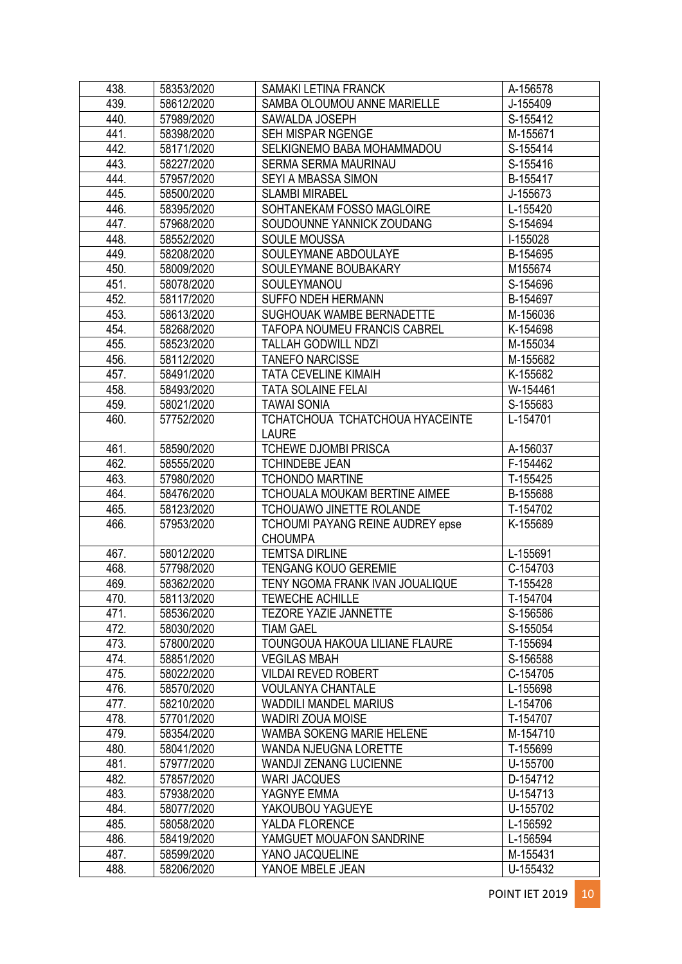| 438. | 58353/2020 | SAMAKI LETINA FRANCK                | A-156578   |
|------|------------|-------------------------------------|------------|
| 439. | 58612/2020 | SAMBA OLOUMOU ANNE MARIELLE         | J-155409   |
| 440. | 57989/2020 | SAWALDA JOSEPH                      | S-155412   |
| 441. | 58398/2020 | SEH MISPAR NGENGE                   | M-155671   |
| 442. | 58171/2020 | SELKIGNEMO BABA MOHAMMADOU          | S-155414   |
| 443. | 58227/2020 | SERMA SERMA MAURINAU                | S-155416   |
| 444. | 57957/2020 | SEYI A MBASSA SIMON                 | B-155417   |
| 445. | 58500/2020 | <b>SLAMBI MIRABEL</b>               | J-155673   |
| 446. | 58395/2020 | SOHTANEKAM FOSSO MAGLOIRE           | L-155420   |
| 447. | 57968/2020 | SOUDOUNNE YANNICK ZOUDANG           | S-154694   |
| 448. | 58552/2020 | <b>SOULE MOUSSA</b>                 | I-155028   |
| 449. | 58208/2020 | SOULEYMANE ABDOULAYE                | B-154695   |
| 450. | 58009/2020 | SOULEYMANE BOUBAKARY                | M155674    |
| 451. | 58078/2020 | SOULEYMANOU                         | S-154696   |
| 452. | 58117/2020 | SUFFO NDEH HERMANN                  | B-154697   |
| 453. | 58613/2020 | SUGHOUAK WAMBE BERNADETTE           | M-156036   |
| 454. | 58268/2020 | <b>TAFOPA NOUMEU FRANCIS CABREL</b> | K-154698   |
| 455. | 58523/2020 | <b>TALLAH GODWILL NDZI</b>          | M-155034   |
| 456. | 58112/2020 | <b>TANEFO NARCISSE</b>              | M-155682   |
| 457. | 58491/2020 | <b>TATA CEVELINE KIMAIH</b>         | K-155682   |
| 458. | 58493/2020 | <b>TATA SOLAINE FELAI</b>           | W-154461   |
| 459. | 58021/2020 | <b>TAWAI SONIA</b>                  | S-155683   |
| 460. | 57752/2020 | TCHATCHOUA TCHATCHOUA HYACEINTE     | L-154701   |
|      |            | <b>LAURE</b>                        |            |
| 461. | 58590/2020 | <b>TCHEWE DJOMBI PRISCA</b>         | A-156037   |
| 462. | 58555/2020 | <b>TCHINDEBE JEAN</b>               | F-154462   |
| 463. | 57980/2020 | <b>TCHONDO MARTINE</b>              | T-155425   |
| 464. | 58476/2020 | TCHOUALA MOUKAM BERTINE AIMEE       | B-155688   |
| 465. | 58123/2020 | TCHOUAWO JINETTE ROLANDE            | T-154702   |
| 466. | 57953/2020 | TCHOUMI PAYANG REINE AUDREY epse    | K-155689   |
|      |            | <b>CHOUMPA</b>                      |            |
| 467. | 58012/2020 | <b>TEMTSA DIRLINE</b>               | L-155691   |
| 468. | 57798/2020 | <b>TENGANG KOUO GEREMIE</b>         | C-154703   |
| 469. | 58362/2020 | TENY NGOMA FRANK IVAN JOUALIQUE     | T-155428   |
| 470. | 58113/2020 | <b>TEWECHE ACHILLE</b>              | T-154704   |
| 471. | 58536/2020 | <b>TEZORE YAZIE JANNETTE</b>        | S-156586   |
| 472. | 58030/2020 | <b>TIAM GAEL</b>                    | S-155054   |
| 473. | 57800/2020 | TOUNGOUA HAKOUA LILIANE FLAURE      | T-155694   |
| 474. | 58851/2020 | <b>VEGILAS MBAH</b>                 | S-156588   |
| 475. | 58022/2020 | <b>VILDAI REVED ROBERT</b>          | C-154705   |
| 476. | 58570/2020 | <b>VOULANYA CHANTALE</b>            | L-155698   |
| 477. | 58210/2020 | <b>WADDILI MANDEL MARIUS</b>        | L-154706   |
| 478. | 57701/2020 | <b>WADIRI ZOUA MOISE</b>            | T-154707   |
| 479. | 58354/2020 | WAMBA SOKENG MARIE HELENE           | M-154710   |
| 480. | 58041/2020 | WANDA NJEUGNA LORETTE               | T-155699   |
| 481. | 57977/2020 | <b>WANDJI ZENANG LUCIENNE</b>       | U-155700   |
| 482. | 57857/2020 | <b>WARI JACQUES</b>                 | D-154712   |
| 483. | 57938/2020 | YAGNYE EMMA                         | U-154713   |
| 484. | 58077/2020 | YAKOUBOU YAGUEYE                    | U-155702   |
| 485. | 58058/2020 | YALDA FLORENCE                      | L-156592   |
| 486. | 58419/2020 | YAMGUET MOUAFON SANDRINE            | L-156594   |
| 487. | 58599/2020 | YANO JACQUELINE                     | $M-155431$ |
| 488. | 58206/2020 | YANOE MBELE JEAN                    | U-155432   |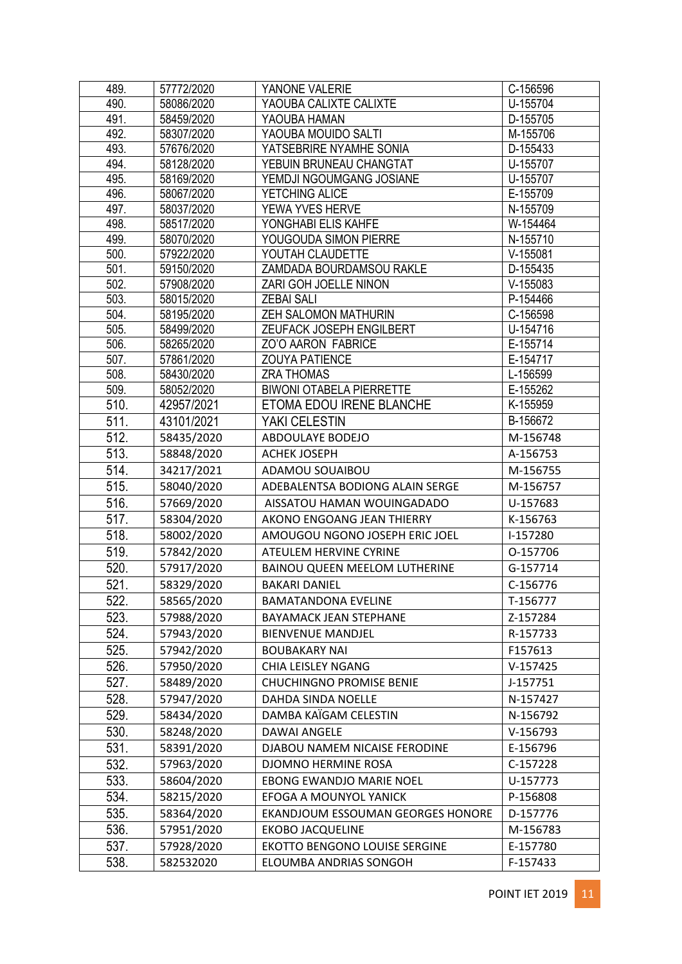| 489.         | 57772/2020               | YANONE VALERIE                             | C-156596             |
|--------------|--------------------------|--------------------------------------------|----------------------|
| 490.         | 58086/2020               | YAOUBA CALIXTE CALIXTE                     | U-155704             |
| 491.         | 58459/2020               | YAOUBA HAMAN                               | D-155705             |
| 492.         | 58307/2020               | YAOUBA MOUIDO SALTI                        | M-155706             |
| 493.         | 57676/2020               | YATSEBRIRE NYAMHE SONIA                    | D-155433             |
| 494.         | 58128/2020               | YEBUIN BRUNEAU CHANGTAT                    | U-155707             |
| 495.         | 58169/2020               | YEMDJI NGOUMGANG JOSIANE                   | U-155707             |
| 496.         | 58067/2020               | YETCHING ALICE                             | E-155709             |
| 497.         | 58037/2020               | YEWA YVES HERVE                            | N-155709             |
| 498.         | 58517/2020               | YONGHABI ELIS KAHFE                        | W-154464             |
| 499.         | 58070/2020               | YOUGOUDA SIMON PIERRE                      | N-155710             |
| 500.         | 57922/2020               | YOUTAH CLAUDETTE                           | $V-155081$           |
| 501.         | 59150/2020               | ZAMDADA BOURDAMSOU RAKLE                   | D-155435             |
| 502.         | 57908/2020               | ZARI GOH JOELLE NINON                      | $V-155083$           |
| 503.         | 58015/2020               | <b>ZEBAI SALI</b>                          | P-154466             |
| 504.         | 58195/2020               | <b>ZEH SALOMON MATHURIN</b>                | C-156598             |
| 505.         | 58499/2020               | ZEUFACK JOSEPH ENGILBERT                   | U-154716             |
| 506.         | 58265/2020               | ZO'O AARON FABRICE                         | E-155714             |
| 507.<br>508. | 57861/2020               | <b>ZOUYA PATIENCE</b><br><b>ZRA THOMAS</b> | E-154717<br>L-156599 |
| 509.         | 58430/2020<br>58052/2020 | <b>BIWONI OTABELA PIERRETTE</b>            | E-155262             |
| 510.         | 42957/2021               | ETOMA EDOU IRENE BLANCHE                   | K-155959             |
| 511.         | 43101/2021               | YAKI CELESTIN                              | B-156672             |
| 512.         | 58435/2020               | ABDOULAYE BODEJO                           | M-156748             |
| 513.         |                          | <b>ACHEK JOSEPH</b>                        | A-156753             |
|              | 58848/2020               |                                            |                      |
| 514.         | 34217/2021               | ADAMOU SOUAIBOU                            | M-156755             |
| 515.         | 58040/2020               | ADEBALENTSA BODIONG ALAIN SERGE            | M-156757             |
| 516.         | 57669/2020               | AISSATOU HAMAN WOUINGADADO                 | U-157683             |
| 517.         | 58304/2020               | AKONO ENGOANG JEAN THIERRY                 | K-156763             |
| 518.         | 58002/2020               | AMOUGOU NGONO JOSEPH ERIC JOEL             | I-157280             |
| 519.         | 57842/2020               | <b>ATEULEM HERVINE CYRINE</b>              | O-157706             |
| 520.         | 57917/2020               | <b>BAINOU QUEEN MEELOM LUTHERINE</b>       | G-157714             |
| 521.         | 58329/2020               | <b>BAKARI DANIEL</b>                       | C-156776             |
| 522.         | 58565/2020               | <b>BAMATANDONA EVELINE</b>                 | T-156777             |
| 523.         | 57988/2020               | <b>BAYAMACK JEAN STEPHANE</b>              | Z-157284             |
| 524.         | 57943/2020               | <b>BIENVENUE MANDJEL</b>                   | R-157733             |
| 525.         | 57942/2020               | <b>BOUBAKARY NAI</b>                       | F157613              |
| 526.         | 57950/2020               | <b>CHIA LEISLEY NGANG</b>                  | $V-157425$           |
| 527.         | 58489/2020               | <b>CHUCHINGNO PROMISE BENIE</b>            | J-157751             |
| 528.         | 57947/2020               | DAHDA SINDA NOELLE                         | N-157427             |
| 529.         | 58434/2020               | DAMBA KAÏGAM CELESTIN                      | N-156792             |
| 530.         | 58248/2020               | <b>DAWAI ANGELE</b>                        | V-156793             |
| 531.         | 58391/2020               | DJABOU NAMEM NICAISE FERODINE              | E-156796             |
| 532.         | 57963/2020               | DJOMNO HERMINE ROSA                        | C-157228             |
| 533.         | 58604/2020               | EBONG EWANDJO MARIE NOEL                   | U-157773             |
| 534.         | 58215/2020               | EFOGA A MOUNYOL YANICK                     | P-156808             |
| 535.         | 58364/2020               | EKANDJOUM ESSOUMAN GEORGES HONORE          | D-157776             |
| 536.         | 57951/2020               | <b>EKOBO JACQUELINE</b>                    | M-156783             |
| 537.         | 57928/2020               | EKOTTO BENGONO LOUISE SERGINE              | E-157780             |
| 538.         | 582532020                | ELOUMBA ANDRIAS SONGOH                     | F-157433             |
|              |                          |                                            |                      |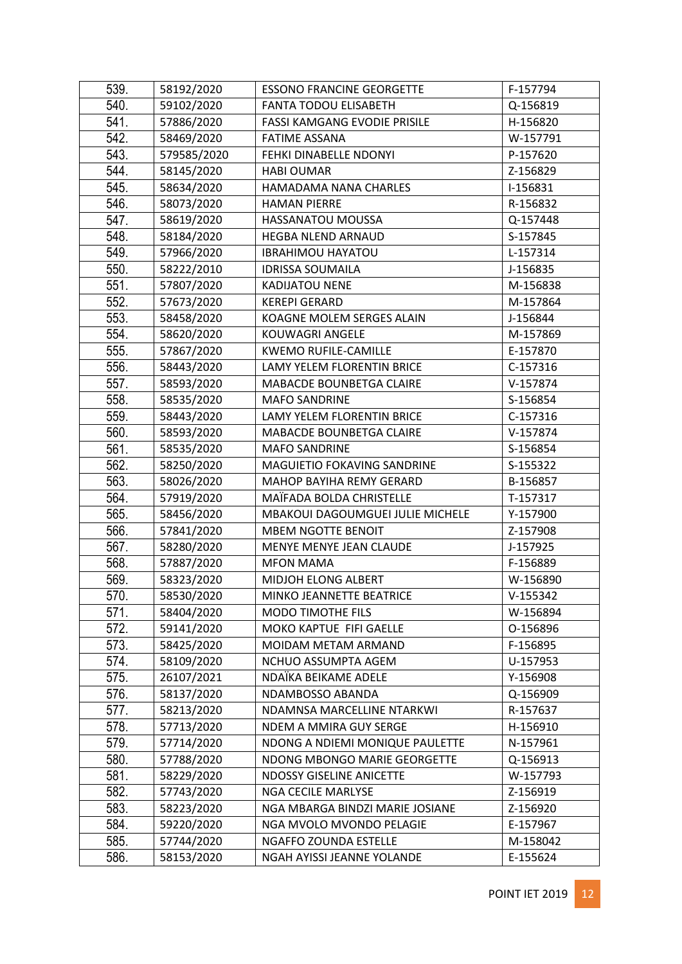| 539. | 58192/2020  | <b>ESSONO FRANCINE GEORGETTE</b> | F-157794 |
|------|-------------|----------------------------------|----------|
| 540. | 59102/2020  | <b>FANTA TODOU ELISABETH</b>     | Q-156819 |
| 541. | 57886/2020  | FASSI KAMGANG EVODIE PRISILE     | H-156820 |
| 542. | 58469/2020  | <b>FATIME ASSANA</b>             | W-157791 |
| 543. | 579585/2020 | FEHKI DINABELLE NDONYI           | P-157620 |
| 544. | 58145/2020  | <b>HABI OUMAR</b>                | Z-156829 |
| 545. | 58634/2020  | HAMADAMA NANA CHARLES            | I-156831 |
| 546. | 58073/2020  | <b>HAMAN PIERRE</b>              | R-156832 |
| 547. | 58619/2020  | HASSANATOU MOUSSA                | Q-157448 |
| 548. | 58184/2020  | HEGBA NLEND ARNAUD               | S-157845 |
| 549. | 57966/2020  | <b>IBRAHIMOU HAYATOU</b>         | L-157314 |
| 550. | 58222/2010  | <b>IDRISSA SOUMAILA</b>          | J-156835 |
| 551. | 57807/2020  | <b>KADIJATOU NENE</b>            | M-156838 |
| 552. | 57673/2020  | <b>KEREPI GERARD</b>             | M-157864 |
| 553. | 58458/2020  | KOAGNE MOLEM SERGES ALAIN        | J-156844 |
| 554. | 58620/2020  | KOUWAGRI ANGELE                  | M-157869 |
| 555. | 57867/2020  | <b>KWEMO RUFILE-CAMILLE</b>      | E-157870 |
| 556. | 58443/2020  | LAMY YELEM FLORENTIN BRICE       | C-157316 |
| 557. | 58593/2020  | MABACDE BOUNBETGA CLAIRE         | V-157874 |
| 558. | 58535/2020  | <b>MAFO SANDRINE</b>             | S-156854 |
| 559. | 58443/2020  | LAMY YELEM FLORENTIN BRICE       | C-157316 |
| 560. | 58593/2020  | MABACDE BOUNBETGA CLAIRE         | V-157874 |
| 561. | 58535/2020  | <b>MAFO SANDRINE</b>             | S-156854 |
| 562. | 58250/2020  | MAGUIETIO FOKAVING SANDRINE      | S-155322 |
| 563. | 58026/2020  | MAHOP BAYIHA REMY GERARD         | B-156857 |
| 564. | 57919/2020  | MAÏFADA BOLDA CHRISTELLE         | T-157317 |
| 565. | 58456/2020  | MBAKOUI DAGOUMGUEI JULIE MICHELE | Y-157900 |
| 566. | 57841/2020  | <b>MBEM NGOTTE BENOIT</b>        | Z-157908 |
| 567. | 58280/2020  | MENYE MENYE JEAN CLAUDE          | J-157925 |
| 568. | 57887/2020  | <b>MFON MAMA</b>                 | F-156889 |
| 569. | 58323/2020  | MIDJOH ELONG ALBERT              | W-156890 |
| 570. | 58530/2020  | MINKO JEANNETTE BEATRICE         | V-155342 |
| 571. | 58404/2020  | <b>MODO TIMOTHE FILS</b>         | W-156894 |
| 572. | 59141/2020  | MOKO KAPTUE FIFI GAELLE          | O-156896 |
| 573. | 58425/2020  | MOIDAM METAM ARMAND              | F-156895 |
| 574. | 58109/2020  | NCHUO ASSUMPTA AGEM              | U-157953 |
| 575. | 26107/2021  | NDAÏKA BEIKAME ADELE             | Y-156908 |
| 576. | 58137/2020  | NDAMBOSSO ABANDA                 | Q-156909 |
| 577. | 58213/2020  | NDAMNSA MARCELLINE NTARKWI       | R-157637 |
| 578. | 57713/2020  | NDEM A MMIRA GUY SERGE           | H-156910 |
| 579. | 57714/2020  | NDONG A NDIEMI MONIQUE PAULETTE  | N-157961 |
| 580. | 57788/2020  | NDONG MBONGO MARIE GEORGETTE     | Q-156913 |
| 581. | 58229/2020  | <b>NDOSSY GISELINE ANICETTE</b>  | W-157793 |
| 582. | 57743/2020  | <b>NGA CECILE MARLYSE</b>        | Z-156919 |
| 583. | 58223/2020  | NGA MBARGA BINDZI MARIE JOSIANE  | Z-156920 |
| 584. | 59220/2020  | NGA MVOLO MVONDO PELAGIE         | E-157967 |
| 585. | 57744/2020  | <b>NGAFFO ZOUNDA ESTELLE</b>     | M-158042 |
| 586. | 58153/2020  | NGAH AYISSI JEANNE YOLANDE       | E-155624 |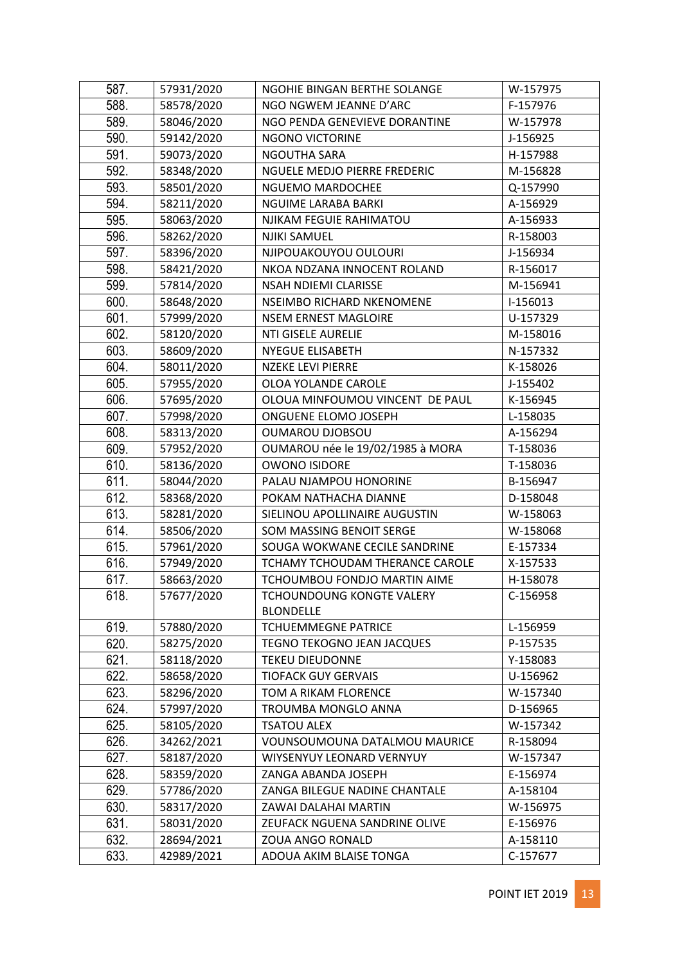| 587. | 57931/2020 | NGOHIE BINGAN BERTHE SOLANGE     | W-157975 |
|------|------------|----------------------------------|----------|
| 588. | 58578/2020 | NGO NGWEM JEANNE D'ARC           | F-157976 |
| 589. | 58046/2020 | NGO PENDA GENEVIEVE DORANTINE    | W-157978 |
| 590. | 59142/2020 | <b>NGONO VICTORINE</b>           | J-156925 |
| 591. | 59073/2020 | NGOUTHA SARA                     | H-157988 |
| 592. | 58348/2020 | NGUELE MEDJO PIERRE FREDERIC     | M-156828 |
| 593. | 58501/2020 | NGUEMO MARDOCHEE                 | Q-157990 |
| 594. | 58211/2020 | NGUIME LARABA BARKI              | A-156929 |
| 595. | 58063/2020 | NJIKAM FEGUIE RAHIMATOU          | A-156933 |
| 596. | 58262/2020 | NJIKI SAMUEL                     | R-158003 |
| 597. | 58396/2020 | NJIPOUAKOUYOU OULOURI            | J-156934 |
| 598. | 58421/2020 | NKOA NDZANA INNOCENT ROLAND      | R-156017 |
| 599. | 57814/2020 | NSAH NDIEMI CLARISSE             | M-156941 |
| 600. | 58648/2020 | NSEIMBO RICHARD NKENOMENE        | I-156013 |
| 601. | 57999/2020 | <b>NSEM ERNEST MAGLOIRE</b>      | U-157329 |
| 602. | 58120/2020 | <b>NTI GISELE AURELIE</b>        | M-158016 |
| 603. | 58609/2020 | <b>NYEGUE ELISABETH</b>          | N-157332 |
| 604. | 58011/2020 | <b>NZEKE LEVI PIERRE</b>         | K-158026 |
| 605. | 57955/2020 | OLOA YOLANDE CAROLE              | J-155402 |
| 606. | 57695/2020 | OLOUA MINFOUMOU VINCENT DE PAUL  | K-156945 |
| 607. | 57998/2020 | ONGUENE ELOMO JOSEPH             | L-158035 |
| 608. | 58313/2020 | <b>OUMAROU DJOBSOU</b>           | A-156294 |
| 609. | 57952/2020 | OUMAROU née le 19/02/1985 à MORA | T-158036 |
| 610. | 58136/2020 | <b>OWONO ISIDORE</b>             | T-158036 |
| 611. | 58044/2020 | PALAU NJAMPOU HONORINE           | B-156947 |
| 612. | 58368/2020 | POKAM NATHACHA DIANNE            | D-158048 |
| 613. | 58281/2020 | SIELINOU APOLLINAIRE AUGUSTIN    | W-158063 |
| 614. | 58506/2020 | SOM MASSING BENOIT SERGE         | W-158068 |
| 615. | 57961/2020 | SOUGA WOKWANE CECILE SANDRINE    | E-157334 |
| 616. | 57949/2020 | TCHAMY TCHOUDAM THERANCE CAROLE  | X-157533 |
| 617. | 58663/2020 | TCHOUMBOU FONDJO MARTIN AIME     | H-158078 |
| 618. | 57677/2020 | TCHOUNDOUNG KONGTE VALERY        | C-156958 |
|      |            | <b>BLONDELLE</b>                 |          |
| 619. | 57880/2020 | <b>TCHUEMMEGNE PATRICE</b>       | L-156959 |
| 620. | 58275/2020 | TEGNO TEKOGNO JEAN JACQUES       | P-157535 |
| 621. | 58118/2020 | <b>TEKEU DIEUDONNE</b>           | Y-158083 |
| 622. | 58658/2020 | <b>TIOFACK GUY GERVAIS</b>       | U-156962 |
| 623. | 58296/2020 | TOM A RIKAM FLORENCE             | W-157340 |
| 624. | 57997/2020 | TROUMBA MONGLO ANNA              | D-156965 |
| 625. | 58105/2020 | <b>TSATOU ALEX</b>               | W-157342 |
| 626. | 34262/2021 | VOUNSOUMOUNA DATALMOU MAURICE    | R-158094 |
| 627. | 58187/2020 | WIYSENYUY LEONARD VERNYUY        | W-157347 |
| 628. | 58359/2020 | ZANGA ABANDA JOSEPH              | E-156974 |
| 629. | 57786/2020 | ZANGA BILEGUE NADINE CHANTALE    | A-158104 |
| 630. | 58317/2020 | ZAWAI DALAHAI MARTIN             | W-156975 |
| 631. | 58031/2020 | ZEUFACK NGUENA SANDRINE OLIVE    | E-156976 |
| 632. | 28694/2021 | ZOUA ANGO RONALD                 | A-158110 |
| 633. | 42989/2021 | ADOUA AKIM BLAISE TONGA          | C-157677 |